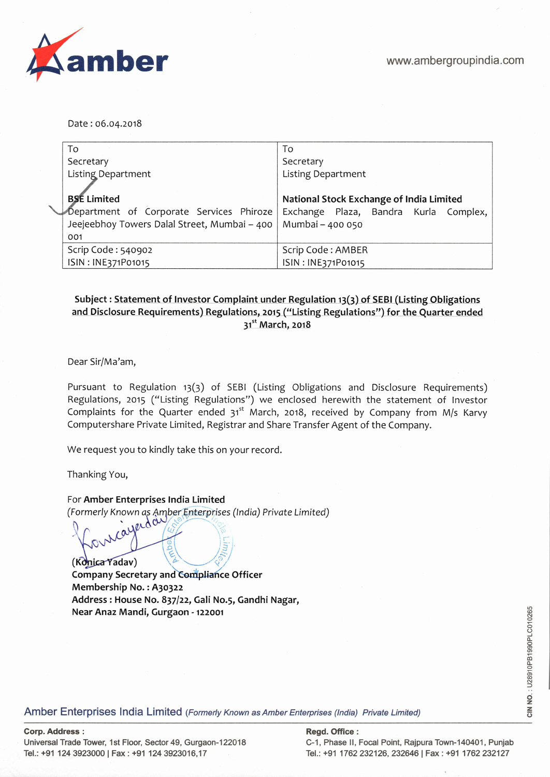

Date: 06.04.2018

|  | To                                           | To                                       |  |  |
|--|----------------------------------------------|------------------------------------------|--|--|
|  | Secretary                                    | Secretary                                |  |  |
|  | <b>Listing Department</b>                    | <b>Listing Department</b>                |  |  |
|  |                                              |                                          |  |  |
|  | <b>BSE Limited</b>                           | National Stock Exchange of India Limited |  |  |
|  | Department of Corporate Services Phiroze     | Exchange Plaza, Bandra Kurla Complex,    |  |  |
|  | Jeejeebhoy Towers Dalal Street, Mumbai - 400 | Mumbai - 400 050                         |  |  |
|  | 001                                          |                                          |  |  |
|  | Scrip Code: 540902                           | Scrip Code: AMBER                        |  |  |
|  | ISIN: INE371P01015                           | ISIN: INE371P01015                       |  |  |

## **Subject: Statement of Investor Complaint under Regulation 13(3) of SEBI (Listing Obligations and Disclosure Requirements) Regulations, 2015("Listing Regulations") for the Quarter ended 315t March, 2018**

Dear Sir/Ma'am,

Pursuant to Regulation 13(3) of SEBI (Listing Obligations and Disclosure Requirements) Regulations, 2015 ("Listing Regulations") we enclosed herewith the statement of Investor Complaints for the Quarter ended  $31^{st}$  March, 2018, received by Company from M/s Karvy Computershare Private Limited, Registrar and Share Transfer Agent of the Company.

We request you to kindly take this on your record.

Thanking You,

For **Amber Enterprises India Limited** 

(Formerly Known as Amber Enterprises (India) Private Limited) cayerday

(Konica Yadav) **Company Secretary and Compliance Officer Membership No.** : **A3o322 Address: House No. 837/22, Gali No.5, Gandhi Nagar, Near Anaz Mandi, Gurgaon** - **122001** 

Amber Enterprises India Limited (Formerly Known as Amber Enterprises (India) Private Limited)